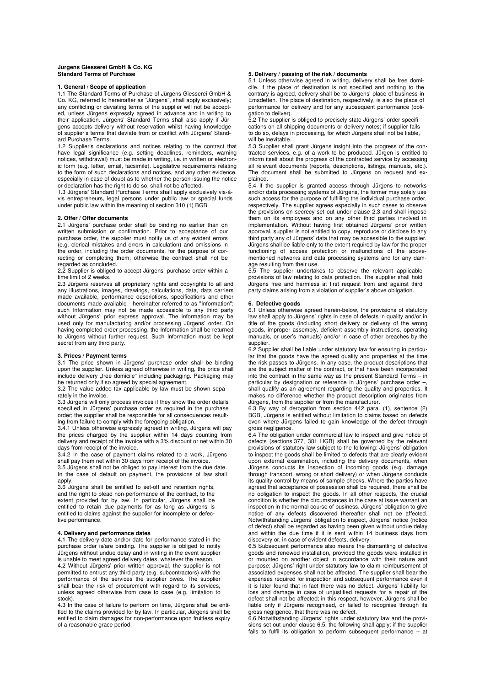## **Jürgens Giesserei GmbH & Co. KG Standard Terms of Purchase**

# **1. General / Scope of application**

1.1 The Standard Terms of Purchase of Jürgens Giesserei GmbH & Co. KG, referred to hereinafter as "Jürgens", shall apply exclusively; any conflicting or deviating terms of the supplier will not be accepted, unless Jürgens expressly agreed in advance and in writing to their application. Jürgens' Standard Terms shall also apply if Jürgens accepts delivery without reservation whilst having knowledge of supplier's terms that deviate from or conflict with Jürgens' Standard Purchase Terms.

1.2 Supplier's declarations and notices relating to the contract that have legal significance (e.g. setting deadlines, reminders, warning notices, withdrawal) must be made in writing, i.e. in written or electronic form (e.g. letter, email, facsimile). Legislative requirements relating to the form of such declarations and notices, and any other evidence, especially in case of doubt as to whether the person issuing the notice or declaration has the right to do so, shall not be affected.

1.3 Jürgens' Standard Purchase Terms shall apply exclusively vis-àvis entrepreneurs, legal persons under public law or special funds under public law within the meaning of section 310 (1) BGB.

## **2. Offer / Offer documents**

2.1 Jürgens' purchase order shall be binding no earlier than on written submission or confirmation. Prior to acceptance of our purchase order, the supplier must notify us of any evident errors (e.g. clerical mistakes and errors in calculation) and omissions in the order, including the order documents, for the purpose of correcting or completing them; otherwise the contract shall not be regarded as concluded.

2.2 Supplier is obliged to accept Jürgens' purchase order within a time limit of 2 weeks.

2.3 Jürgens reserves all proprietary rights and copyrights to all and any illustrations, images, drawings, calculations, data, data carriers made available, performance descriptions, specifications and other documents made available - hereinafter referred to as "Information"; such Information may not be made accessible to any third party without Jürgens' prior express approval. The information may be used only for manufacturing and/or processing Jürgens' order. On having completed order processing, the Information shall be returned to Jürgens without further request. Such Information must be kept secret from any third party.

## **3. Prices / Payment terms**

3.1 The price shown in Jürgens' purchase order shall be binding upon the supplier. Unless agreed otherwise in writing, the price shall include delivery "free domicile" including packaging. Packaging may be returned only if so agreed by special agreement.

3.2 The value added tax applicable by law must be shown separately in the invoice.

3.3 Jürgens will only process invoices if they show the order details specified in Jürgens' purchase order as required in the purchase order; the supplier shall be responsible for all consequences resulting from failure to comply with the foregoing obligation.

3.4.1 Unless otherwise expressly agreed in writing, Jürgens will pay the prices charged by the supplier within 14 days counting from delivery and receipt of the invoice with a 3% discount or net within 30 days from receipt of the invoice.

3.4.2 In the case of payment claims related to a work, Jürgens shall pay them net within 30 days from receipt of the invoice.

3.5 Jürgens shall not be obliged to pay interest from the due date. In the case of default on payment, the provisions of law shall apply.

3.6 Jürgens shall be entitled to set-off and retention rights, and the right to plead non-performance of the contract, to the extent provided for by law. In particular, Jürgens shall be entitled to retain due payments for as long as Jürgens is entitled to claims against the supplier for incomplete or defective performance.

# **4. Delivery and performance dates**

4.1 The delivery date and/or date for performance stated in the purchase order is/are binding. The supplier is obliged to notify Jürgens without undue delay and in writing in the event supplier is unable to meet agreed delivery dates, whatever the reason.

4.2 Without Jürgens' prior written approval, the supplier is not permitted to entrust any third party (e.g. subcontractors) with the performance of the services the supplier owes. The supplier shall bear the risk of procurement with regard to its services, unless agreed otherwise from case to case (e.g. limitation to stock).

4.3 In the case of failure to perform on time, Jürgens shall be entitled to the claims provided for by law. In particular, Jürgens shall be entitled to claim damages for non-performance upon fruitless expiry of a reasonable grace period.

## **5. Delivery / passing of the risk / documents**

5.1 Unless otherwise agreed in writing, delivery shall be free domicile. If the place of destination is not specified and nothing to the contrary is agreed, delivery shall be to Jürgens' place of business in Emsdetten. The place of destination, respectively, is also the place of performance for delivery and for any subsequent performance (obligation to deliver).

5.2 The supplier is obliged to precisely state Jürgens' order specifications on all shipping documents or delivery notes; if supplier fails to do so, delays in processing, for which Jürgens shall not be liable, will be inevitable.

5.3 Supplier shall grant Jürgens insight into the progress of the contracted services, e.g. of a work to be produced. Jürgen is entitled to inform itself about the progress of the contracted service by accessing all relevant documents (reports, descriptions, listings, manuals, etc.). The document shall be submitted to Jürgens on request and explained.

5.4 If the supplier is granted access through Jürgens to networks and/or data processing systems of Jürgens, the former may solely use such access for the purpose of fulfilling the individual purchase order, respectively. The supplier agrees especially in such cases to observe the provisions on secrecy set out under clause 2.3 and shall impose them on its employees and on any other third parties involved in implementation. Without having first obtained Jürgens' prior written approval, supplier is not entitled to copy, reproduce or disclose to any third party any of Jürgens' data that may be accessible to the supplier. Jürgens shall be liable only to the extent required by law for the proper functioning of access protection or malfunctions of the abovementioned networks and data processing systems and for any damage resulting from their use.

5.5 The supplier undertakes to observe the relevant applicable provisions of law relating to data protection. The supplier shall hold Jürgens free and harmless at first request from and against third party claims arising from a violation of supplier's above obligation.

## **6. Defective goods**

6.1 Unless otherwise agreed herein-below, the provisions of statutory law shall apply to Jürgens' rights in case of defects in quality and/or in title of the goods (including short delivery or delivery of the wrong goods, improper assembly, deficient assembly instructions, operating manuals, or user's manuals) and/or in case of other breaches by the supplier.

6.2 Supplier shall be liable under statutory law for ensuring in particular that the goods have the agreed quality and properties at the time the risk passes to Jürgens. In any case, the product descriptions that are the subject matter of the contract, or that have been incorporated into the contract in the same way as the present Standard Terms – in particular by designation or reference in Jürgens' purchase order –, shall qualify as an agreement regarding the quality and properties. It makes no difference whether the product description originates from Jürgens, from the supplier or from the manufacturer.

6.3 By way of derogation from section 442 para. (1), sentence (2) BGB, Jürgens is entitled without limitation to claims based on defects even where Jürgens failed to gain knowledge of the defect through gross negligence.

6.4 The obligation under commercial law to inspect and give notice of defects (sections 377, 381 HGB) shall be governed by the relevant provisions of statutory law subject to the following: Jürgens' obligation to inspect the goods shall be limited to defects that are clearly evident upon external examination, including the delivery documents, when Jürgens conducts its inspection of incoming goods (e.g. damage through transport, wrong or short delivery) or when Jürgens conducts its quality control by means of sample checks. Where the parties have agreed that acceptance of possession shall be required, there shall be no obligation to inspect the goods. In all other respects, the crucial condition is whether the circumstances in the case at issue warrant an inspection in the normal course of business. Jürgens' obligation to give notice of any defects discovered thereafter shall not be affected. Notwithstanding Jürgens' obligation to inspect, Jürgens' notice (notice of defect) shall be regarded as having been given without undue delay and within the due time if it is sent within 14 business days from discovery or, in case of evident defects, delivery.

6.5 Subsequent performance also means the dismantling of defective goods and renewed installation, provided the goods were installed in or mounted on another object in accordance with their nature and purpose; Jürgens' right under statutory law to claim reimbursement of associated expenses shall not be affected. The supplier shall bear the expenses required for inspection and subsequent performance even if it is later found that in fact there was no defect. Jürgens' liability for loss and damage in case of unjustified requests for a repair of the defect shall not be affected; in this respect, however, Jürgens shall be liable only if Jürgens recognised, or failed to recognise through its gross negligence, that there was no defect.

6.6 Notwithstanding Jürgens' rights under statutory law and the provisions set out under clause 6.5, the following shall apply: if the supplier fails to fulfil its obligation to perform subsequent performance – at